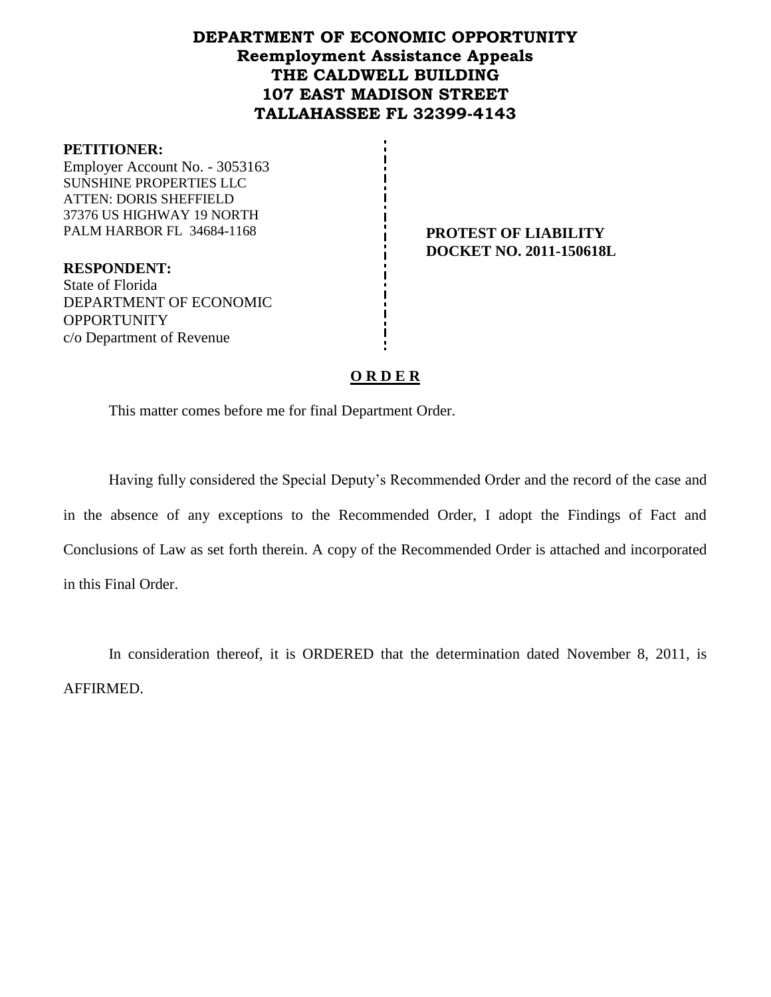# **DEPARTMENT OF ECONOMIC OPPORTUNITY Reemployment Assistance Appeals THE CALDWELL BUILDING 107 EAST MADISON STREET TALLAHASSEE FL 32399-4143**

#### **PETITIONER:**

Employer Account No. - 3053163 SUNSHINE PROPERTIES LLC ATTEN: DORIS SHEFFIELD 37376 US HIGHWAY 19 NORTH PALM HARBOR FL 34684-1168 **PROTEST OF LIABILITY** 

**DOCKET NO. 2011-150618L**

**RESPONDENT:** State of Florida DEPARTMENT OF ECONOMIC **OPPORTUNITY** c/o Department of Revenue

#### **O R D E R**

This matter comes before me for final Department Order.

Having fully considered the Special Deputy's Recommended Order and the record of the case and in the absence of any exceptions to the Recommended Order, I adopt the Findings of Fact and Conclusions of Law as set forth therein. A copy of the Recommended Order is attached and incorporated in this Final Order.

In consideration thereof, it is ORDERED that the determination dated November 8, 2011, is AFFIRMED.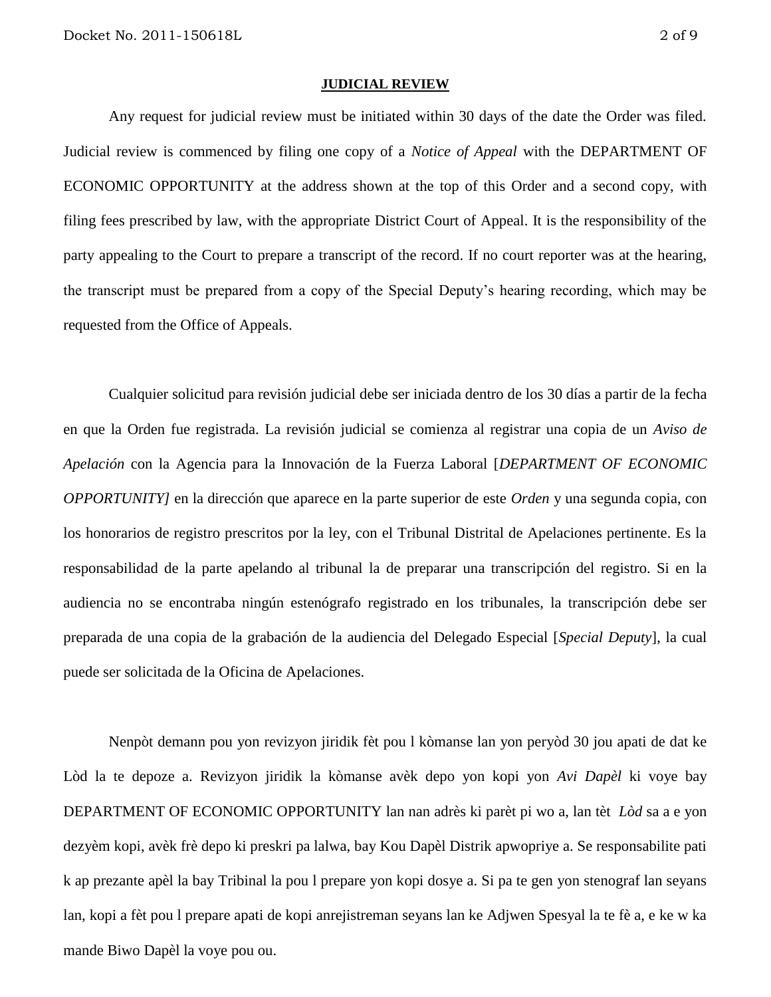#### **JUDICIAL REVIEW**

Any request for judicial review must be initiated within 30 days of the date the Order was filed. Judicial review is commenced by filing one copy of a *Notice of Appeal* with the DEPARTMENT OF ECONOMIC OPPORTUNITY at the address shown at the top of this Order and a second copy, with filing fees prescribed by law, with the appropriate District Court of Appeal. It is the responsibility of the party appealing to the Court to prepare a transcript of the record. If no court reporter was at the hearing, the transcript must be prepared from a copy of the Special Deputy's hearing recording, which may be requested from the Office of Appeals.

Cualquier solicitud para revisión judicial debe ser iniciada dentro de los 30 días a partir de la fecha en que la Orden fue registrada. La revisión judicial se comienza al registrar una copia de un *Aviso de Apelación* con la Agencia para la Innovación de la Fuerza Laboral [*DEPARTMENT OF ECONOMIC OPPORTUNITY]* en la dirección que aparece en la parte superior de este *Orden* y una segunda copia, con los honorarios de registro prescritos por la ley, con el Tribunal Distrital de Apelaciones pertinente. Es la responsabilidad de la parte apelando al tribunal la de preparar una transcripción del registro. Si en la audiencia no se encontraba ningún estenógrafo registrado en los tribunales, la transcripción debe ser preparada de una copia de la grabación de la audiencia del Delegado Especial [*Special Deputy*], la cual puede ser solicitada de la Oficina de Apelaciones.

Nenpòt demann pou yon revizyon jiridik fèt pou l kòmanse lan yon peryòd 30 jou apati de dat ke Lòd la te depoze a. Revizyon jiridik la kòmanse avèk depo yon kopi yon *Avi Dapèl* ki voye bay DEPARTMENT OF ECONOMIC OPPORTUNITY lan nan adrès ki parèt pi wo a, lan tèt *Lòd* sa a e yon dezyèm kopi, avèk frè depo ki preskri pa lalwa, bay Kou Dapèl Distrik apwopriye a. Se responsabilite pati k ap prezante apèl la bay Tribinal la pou l prepare yon kopi dosye a. Si pa te gen yon stenograf lan seyans lan, kopi a fèt pou l prepare apati de kopi anrejistreman seyans lan ke Adjwen Spesyal la te fè a, e ke w ka mande Biwo Dapèl la voye pou ou.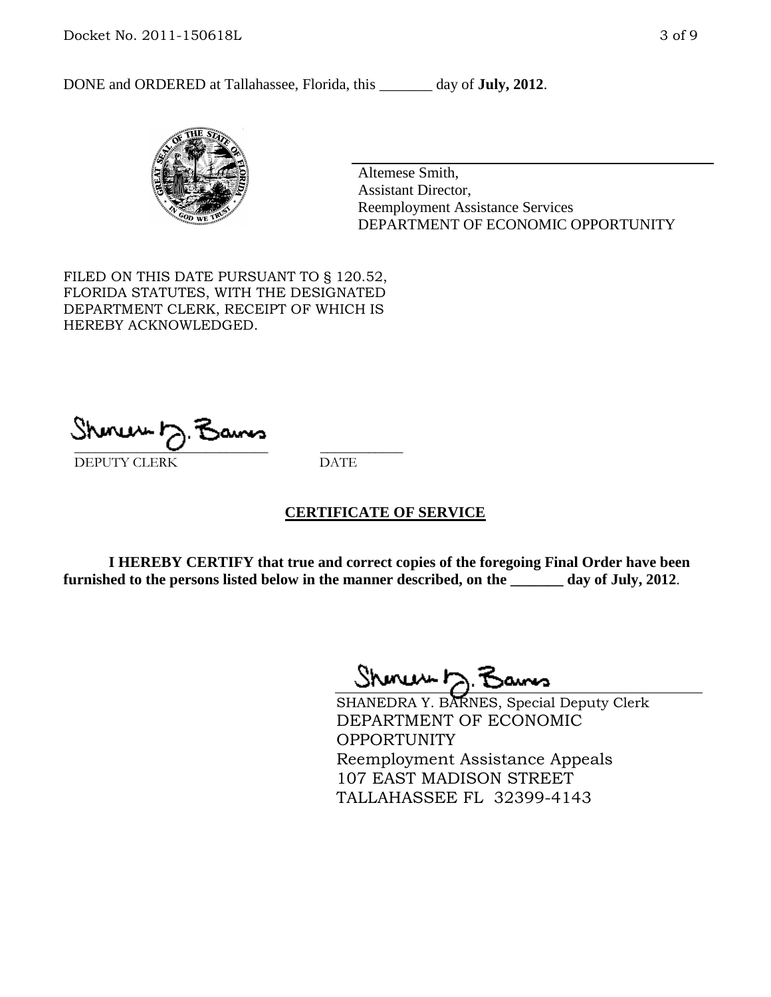DONE and ORDERED at Tallahassee, Florida, this \_\_\_\_\_\_\_ day of **July, 2012**.



Altemese Smith, Assistant Director, Reemployment Assistance Services DEPARTMENT OF ECONOMIC OPPORTUNITY

FILED ON THIS DATE PURSUANT TO § 120.52, FLORIDA STATUTES, WITH THE DESIGNATED DEPARTMENT CLERK, RECEIPT OF WHICH IS HEREBY ACKNOWLEDGED.

\_\_\_\_\_\_\_\_\_\_\_\_\_\_\_\_\_\_\_\_\_\_\_\_\_\_\_\_ \_\_\_\_\_\_\_\_\_\_\_\_ DEPUTY CLERK DATE

#### **CERTIFICATE OF SERVICE**

**I HEREBY CERTIFY that true and correct copies of the foregoing Final Order have been furnished to the persons listed below in the manner described, on the \_\_\_\_\_\_\_ day of July, 2012**.

Shmun 12.3

SHANEDRA Y. BARNES, Special Deputy Clerk DEPARTMENT OF ECONOMIC OPPORTUNITY Reemployment Assistance Appeals 107 EAST MADISON STREET TALLAHASSEE FL 32399-4143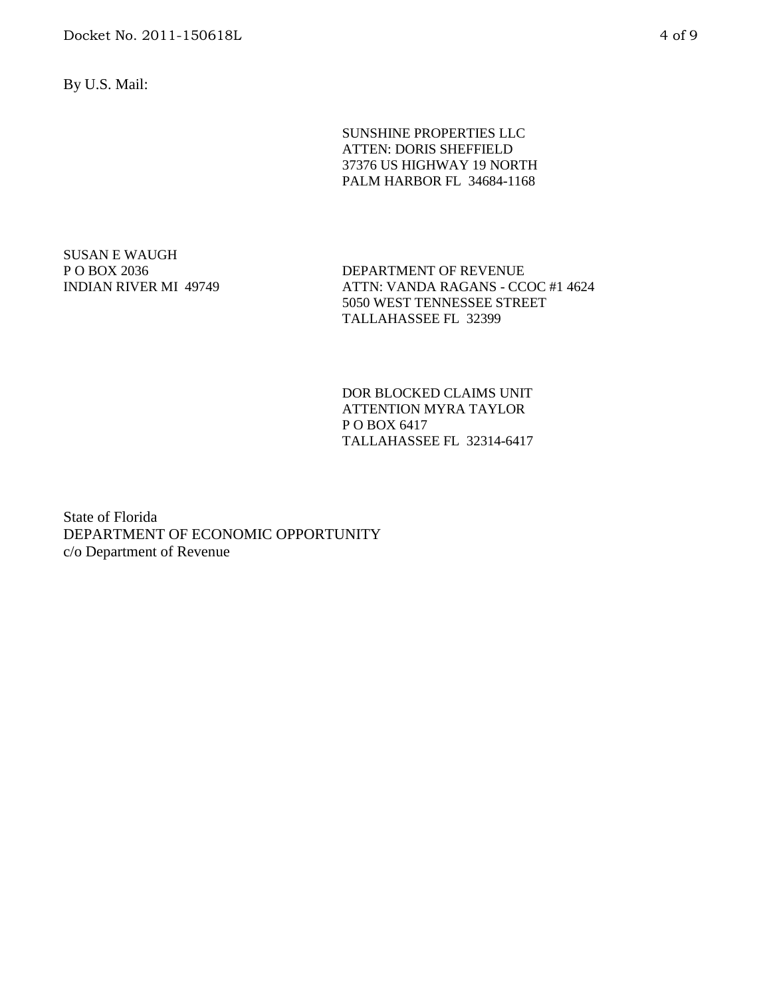By U.S. Mail:

SUNSHINE PROPERTIES LLC ATTEN: DORIS SHEFFIELD 37376 US HIGHWAY 19 NORTH PALM HARBOR FL 34684-1168

SUSAN E WAUGH P O BOX 2036 INDIAN RIVER MI 49749

DEPARTMENT OF REVENUE ATTN: VANDA RAGANS - CCOC #1 4624 5050 WEST TENNESSEE STREET TALLAHASSEE FL 32399

DOR BLOCKED CLAIMS UNIT ATTENTION MYRA TAYLOR P O BOX 6417 TALLAHASSEE FL 32314-6417

State of Florida DEPARTMENT OF ECONOMIC OPPORTUNITY c/o Department of Revenue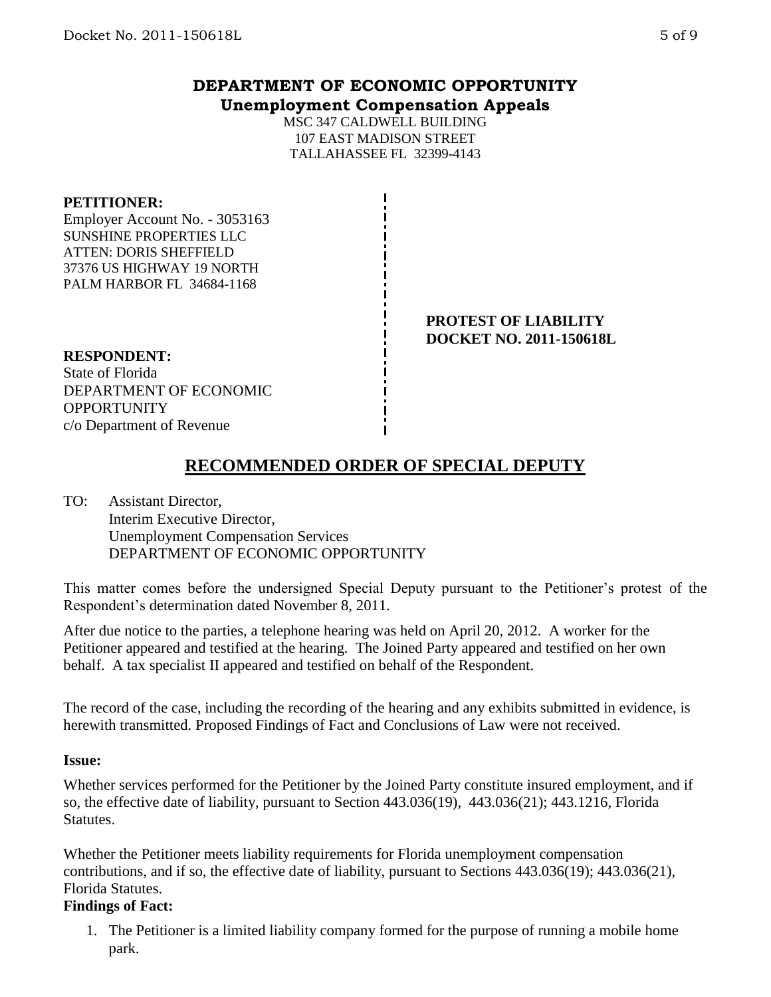## **DEPARTMENT OF ECONOMIC OPPORTUNITY Unemployment Compensation Appeals**

MSC 347 CALDWELL BUILDING 107 EAST MADISON STREET TALLAHASSEE FL 32399-4143

#### **PETITIONER:**

Employer Account No. - 3053163 SUNSHINE PROPERTIES LLC ATTEN: DORIS SHEFFIELD 37376 US HIGHWAY 19 NORTH PALM HARBOR FL 34684-1168

> **PROTEST OF LIABILITY DOCKET NO. 2011-150618L**

#### **RESPONDENT:**

State of Florida DEPARTMENT OF ECONOMIC **OPPORTUNITY** c/o Department of Revenue

# **RECOMMENDED ORDER OF SPECIAL DEPUTY**

TO: Assistant Director, Interim Executive Director, Unemployment Compensation Services DEPARTMENT OF ECONOMIC OPPORTUNITY

This matter comes before the undersigned Special Deputy pursuant to the Petitioner's protest of the Respondent's determination dated November 8, 2011.

After due notice to the parties, a telephone hearing was held on April 20, 2012. A worker for the Petitioner appeared and testified at the hearing. The Joined Party appeared and testified on her own behalf. A tax specialist II appeared and testified on behalf of the Respondent.

The record of the case, including the recording of the hearing and any exhibits submitted in evidence, is herewith transmitted. Proposed Findings of Fact and Conclusions of Law were not received.

#### **Issue:**

Whether services performed for the Petitioner by the Joined Party constitute insured employment, and if so, the effective date of liability, pursuant to Section 443.036(19), 443.036(21); 443.1216, Florida **Statutes.** 

Whether the Petitioner meets liability requirements for Florida unemployment compensation contributions, and if so, the effective date of liability, pursuant to Sections 443.036(19); 443.036(21), Florida Statutes.

## **Findings of Fact:**

1. The Petitioner is a limited liability company formed for the purpose of running a mobile home park.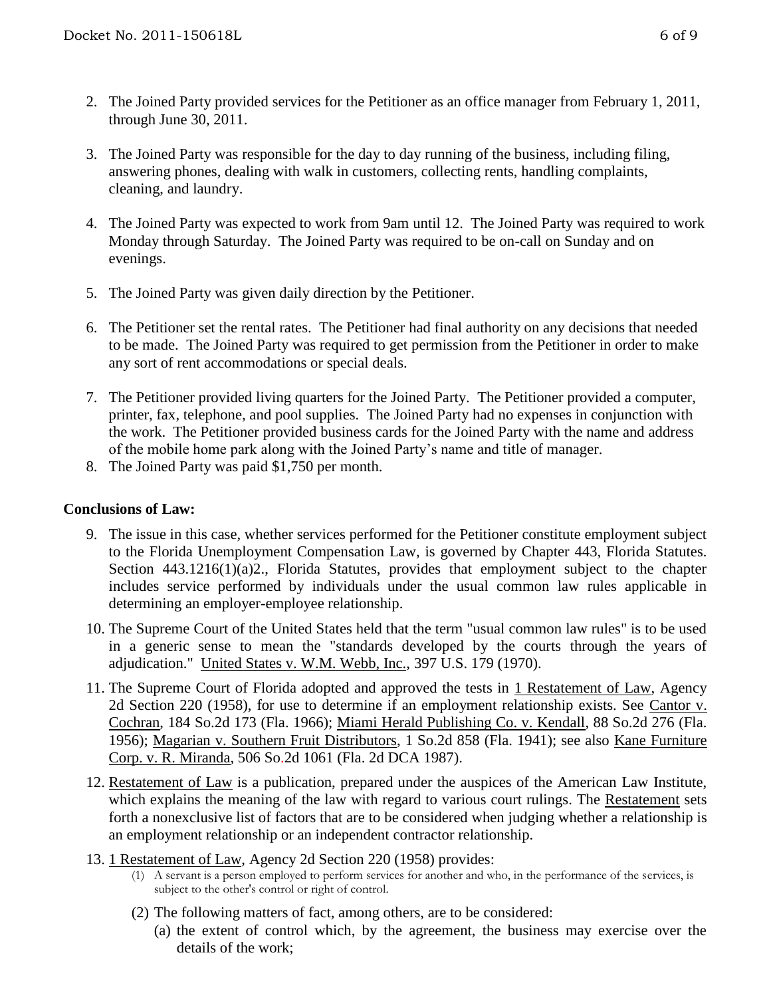- 2. The Joined Party provided services for the Petitioner as an office manager from February 1, 2011, through June 30, 2011.
- 3. The Joined Party was responsible for the day to day running of the business, including filing, answering phones, dealing with walk in customers, collecting rents, handling complaints, cleaning, and laundry.
- 4. The Joined Party was expected to work from 9am until 12. The Joined Party was required to work Monday through Saturday. The Joined Party was required to be on-call on Sunday and on evenings.
- 5. The Joined Party was given daily direction by the Petitioner.
- 6. The Petitioner set the rental rates. The Petitioner had final authority on any decisions that needed to be made. The Joined Party was required to get permission from the Petitioner in order to make any sort of rent accommodations or special deals.
- 7. The Petitioner provided living quarters for the Joined Party. The Petitioner provided a computer, printer, fax, telephone, and pool supplies. The Joined Party had no expenses in conjunction with the work. The Petitioner provided business cards for the Joined Party with the name and address of the mobile home park along with the Joined Party's name and title of manager.
- 8. The Joined Party was paid \$1,750 per month.

## **Conclusions of Law:**

- 9. The issue in this case, whether services performed for the Petitioner constitute employment subject to the Florida Unemployment Compensation Law, is governed by Chapter 443, Florida Statutes. Section 443.1216(1)(a)2., Florida Statutes, provides that employment subject to the chapter includes service performed by individuals under the usual common law rules applicable in determining an employer-employee relationship.
- 10. The Supreme Court of the United States held that the term "usual common law rules" is to be used in a generic sense to mean the "standards developed by the courts through the years of adjudication." United States v. W.M. Webb, Inc., 397 U.S. 179 (1970).
- 11. The Supreme Court of Florida adopted and approved the tests in 1 Restatement of Law, Agency 2d Section 220 (1958), for use to determine if an employment relationship exists. See Cantor v. Cochran, 184 So.2d 173 (Fla. 1966); Miami Herald Publishing Co. v. Kendall, 88 So.2d 276 (Fla. 1956); Magarian v. Southern Fruit Distributors, 1 So.2d 858 (Fla. 1941); see also Kane Furniture Corp. v. R. Miranda, 506 So.2d 1061 (Fla. 2d DCA 1987).
- 12. Restatement of Law is a publication, prepared under the auspices of the American Law Institute, which explains the meaning of the law with regard to various court rulings. The Restatement sets forth a nonexclusive list of factors that are to be considered when judging whether a relationship is an employment relationship or an independent contractor relationship.
- 13. 1 Restatement of Law, Agency 2d Section 220 (1958) provides:
	- (1) A servant is a person employed to perform services for another and who, in the performance of the services, is subject to the other's control or right of control.
	- (2) The following matters of fact, among others, are to be considered:
		- (a) the extent of control which, by the agreement, the business may exercise over the details of the work;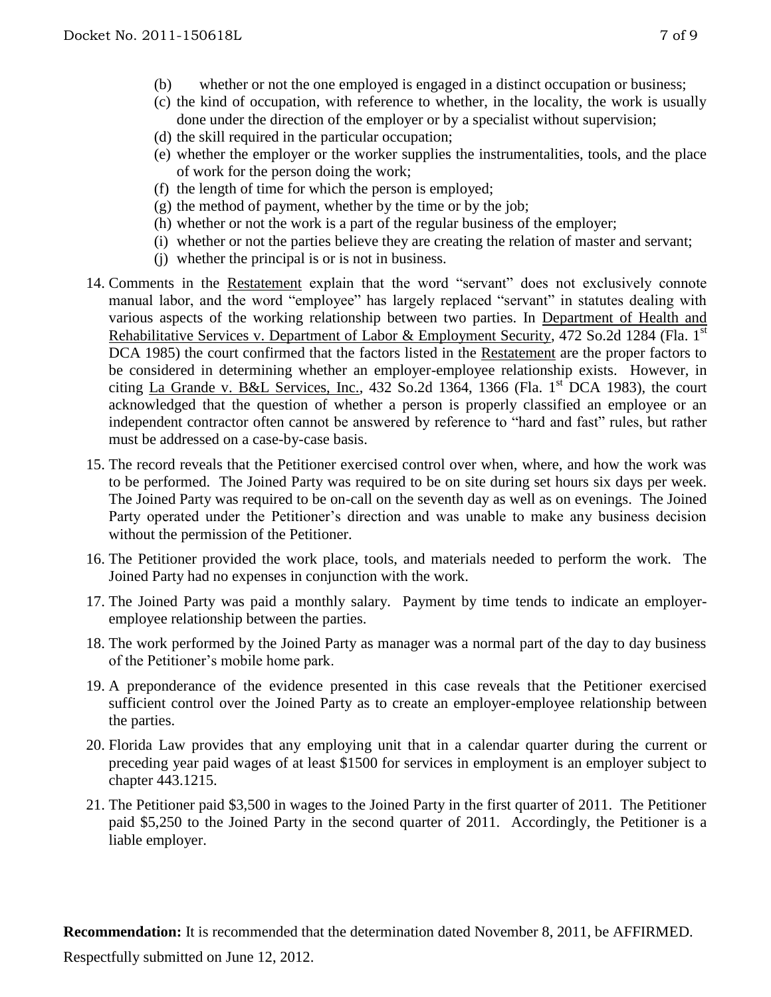- (b) whether or not the one employed is engaged in a distinct occupation or business;
- (c) the kind of occupation, with reference to whether, in the locality, the work is usually done under the direction of the employer or by a specialist without supervision;
- (d) the skill required in the particular occupation;
- (e) whether the employer or the worker supplies the instrumentalities, tools, and the place of work for the person doing the work;
- (f) the length of time for which the person is employed;
- (g) the method of payment, whether by the time or by the job;
- (h) whether or not the work is a part of the regular business of the employer;
- (i) whether or not the parties believe they are creating the relation of master and servant;
- (j) whether the principal is or is not in business.
- 14. Comments in the Restatement explain that the word "servant" does not exclusively connote manual labor, and the word "employee" has largely replaced "servant" in statutes dealing with various aspects of the working relationship between two parties. In Department of Health and Rehabilitative Services v. Department of Labor & Employment Security, 472 So.2d 1284 (Fla. 1<sup>st</sup> DCA 1985) the court confirmed that the factors listed in the Restatement are the proper factors to be considered in determining whether an employer-employee relationship exists. However, in citing La Grande v. B&L Services, Inc., 432 So.2d 1364, 1366 (Fla.  $1<sup>st</sup> DCA$  1983), the court acknowledged that the question of whether a person is properly classified an employee or an independent contractor often cannot be answered by reference to "hard and fast" rules, but rather must be addressed on a case-by-case basis.
- 15. The record reveals that the Petitioner exercised control over when, where, and how the work was to be performed. The Joined Party was required to be on site during set hours six days per week. The Joined Party was required to be on-call on the seventh day as well as on evenings. The Joined Party operated under the Petitioner's direction and was unable to make any business decision without the permission of the Petitioner.
- 16. The Petitioner provided the work place, tools, and materials needed to perform the work. The Joined Party had no expenses in conjunction with the work.
- 17. The Joined Party was paid a monthly salary. Payment by time tends to indicate an employeremployee relationship between the parties.
- 18. The work performed by the Joined Party as manager was a normal part of the day to day business of the Petitioner's mobile home park.
- 19. A preponderance of the evidence presented in this case reveals that the Petitioner exercised sufficient control over the Joined Party as to create an employer-employee relationship between the parties.
- 20. Florida Law provides that any employing unit that in a calendar quarter during the current or preceding year paid wages of at least \$1500 for services in employment is an employer subject to chapter 443.1215.
- 21. The Petitioner paid \$3,500 in wages to the Joined Party in the first quarter of 2011. The Petitioner paid \$5,250 to the Joined Party in the second quarter of 2011. Accordingly, the Petitioner is a liable employer.

**Recommendation:** It is recommended that the determination dated November 8, 2011, be AFFIRMED.

Respectfully submitted on June 12, 2012.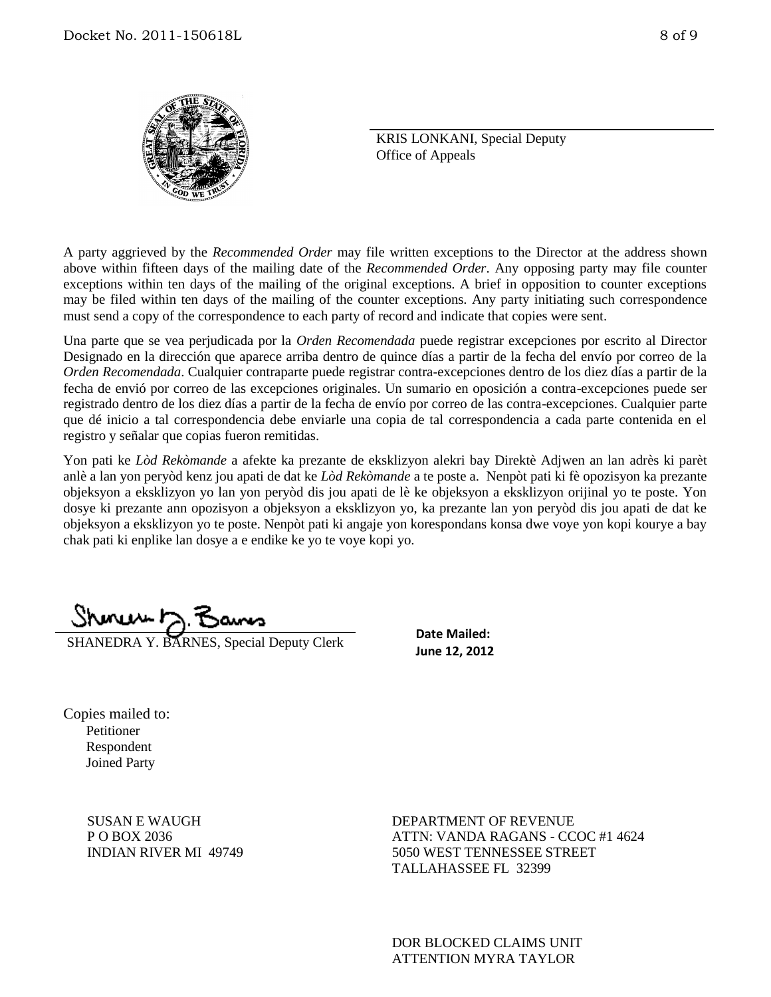

KRIS LONKANI, Special Deputy Office of Appeals

A party aggrieved by the *Recommended Order* may file written exceptions to the Director at the address shown above within fifteen days of the mailing date of the *Recommended Order*. Any opposing party may file counter exceptions within ten days of the mailing of the original exceptions. A brief in opposition to counter exceptions may be filed within ten days of the mailing of the counter exceptions. Any party initiating such correspondence must send a copy of the correspondence to each party of record and indicate that copies were sent.

Una parte que se vea perjudicada por la *Orden Recomendada* puede registrar excepciones por escrito al Director Designado en la dirección que aparece arriba dentro de quince días a partir de la fecha del envío por correo de la *Orden Recomendada*. Cualquier contraparte puede registrar contra-excepciones dentro de los diez días a partir de la fecha de envió por correo de las excepciones originales. Un sumario en oposición a contra-excepciones puede ser registrado dentro de los diez días a partir de la fecha de envío por correo de las contra-excepciones. Cualquier parte que dé inicio a tal correspondencia debe enviarle una copia de tal correspondencia a cada parte contenida en el registro y señalar que copias fueron remitidas.

Yon pati ke *Lòd Rekòmande* a afekte ka prezante de eksklizyon alekri bay Direktè Adjwen an lan adrès ki parèt anlè a lan yon peryòd kenz jou apati de dat ke *Lòd Rekòmande* a te poste a. Nenpòt pati ki fè opozisyon ka prezante objeksyon a eksklizyon yo lan yon peryòd dis jou apati de lè ke objeksyon a eksklizyon orijinal yo te poste. Yon dosye ki prezante ann opozisyon a objeksyon a eksklizyon yo, ka prezante lan yon peryòd dis jou apati de dat ke objeksyon a eksklizyon yo te poste. Nenpòt pati ki angaje yon korespondans konsa dwe voye yon kopi kourye a bay chak pati ki enplike lan dosye a e endike ke yo te voye kopi yo.

Shinuw h

SHANEDRA Y. BARNES, Special Deputy Clerk

**Date Mailed: June 12, 2012**

Copies mailed to: Petitioner Respondent Joined Party

> SUSAN E WAUGH P O BOX 2036 INDIAN RIVER MI 49749

DEPARTMENT OF REVENUE ATTN: VANDA RAGANS - CCOC #1 4624 5050 WEST TENNESSEE STREET TALLAHASSEE FL 32399

DOR BLOCKED CLAIMS UNIT ATTENTION MYRA TAYLOR